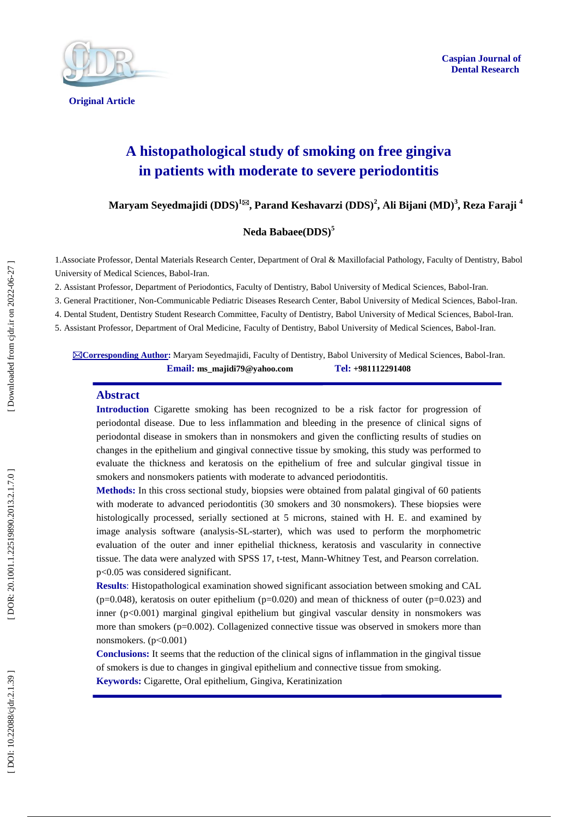

**Original Article** 

# **A histopathological study of smoking on free gingiva in patients with moderate to severe periodontitis**

 $\mathbf{Maryam\text{ Seyedmajidi (DDS)}^{1\boxtimes}}, \mathbf{Parand\text{ Keshavarzi (DDS)}^2}, \mathbf{Ali\text{ Bijani (MD)}^3}, \mathbf{Reza\text{ Faraji}}^4$ 

# **Neda Babaee(DDS) 5**

1 .Associate Professor, Dental Materials Research Center, Department of Oral & Maxillofacial Pathology, Faculty of Dentistry, Babol University of Medical Sciences, Babol -Iran.

2. Assistant Professor, Department of Periodontics, Faculty of Dentistry, Babol University of Medical Sciences, Babol -Iran.

3. General Practitioner, Non -Communicable Pediatric Diseases Research Center, Babol University of Medical Sciences, Babol -Iran.

4. Dental Student, Dentistry Student Research Committee, Faculty of Dentistry, Babol University of Medical Sciences, Babol -Iran.

5. Assistant Professor, Department of Oral Medicine, Faculty of Dentistry, Babol University of Medical Sciences, Babol -Iran.

⊠Corresponding Author: Maryam Seyedmajidi, Faculty of Dentistry, Babol University of Medical Sciences, Babol-Iran. **Email: ms\_majidi79@yahoo.com Tel: +981112291408**

#### **Abstract**

**Introduction** Cigarette smoking has been recognized to be a risk factor for progression of periodontal disease . Due to less inflammation and bleeding in the presence of clinical signs of periodontal disease in smokers than in nonsmokers and given the conflicting results of studies on changes in the epithelium and gingival connective tissue by smoking, this study was performed to evaluate the thickness and keratosis on the epithelium of free and sulcular gingival tissue in smokers and nonsmokers patients with moderate to advanced periodontitis.

**Methods:** In this cross sectional study, biopsies were obtained from palatal gingival of 60 patients with moderate to advanced periodontitis (30 smokers and 30 nonsmokers). These biopsies were histologically processed, serially sectioned at 5 microns, stained with H. E . and examined by image analysis software (analysis -SL -starter), which was used to perform the morphometric evaluation of the outer and inner epithelial thickness, keratosis and vascularity in connective tissue. The data were analyzed with SPSS 17, t -test, Mann -Whitney Test, and Pearson correlation. p<0.05 was considered significant.

**Results** : Histopathological examination showed significant association between smoking and CAL  $(p=0.048)$ , keratosis on outer epithelium  $(p=0.020)$  and mean of thickness of outer  $(p=0.023)$  and inner ( p<0.001) marginal gingival epithelium but gingival vascular density in nonsmokers was more than smokers (p=0.002). Collagenized connective tissue was observed in smokers more than nonsmokers. (p<0.001)

**Conclusions:** It seems that the reduction of the clinical signs of inflammation in the gingival tissue of smokers is due to changes in gingival epithelium and connective tissue from smoking. **Keywords:** Cigarette, Oral epithelium, Gingiva, Keratinization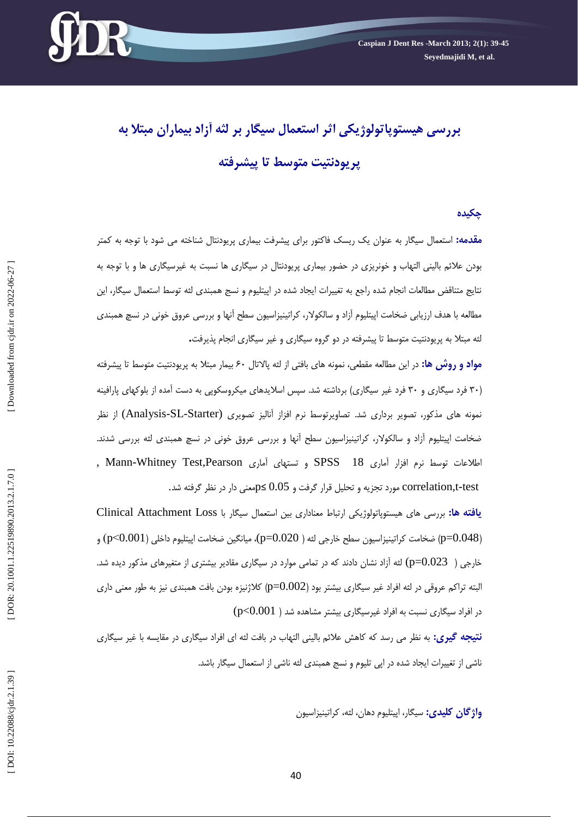

# **بررسی هیستوپاتولوژیکی اثر استعمال سیگار بر لثه آزاد بیماران مبتال به پریودنتیت متوسط تا پیشرفته**

#### **چکیده**

**مقدمه:** استعمال سیگار به عنوان یک ریسک فاکتور برای پیشرفت بیماری پریودنتال شناخته می شود با توجه به کمتر بودن علائم بالینی التهاب و خونریزی در حضور بیماری پریودنتال در سیگاری ها نسبت به غیرسیگاری ها و با توجه به نتایج متناقض مطالعات انجام شده راجع به تغییرات ایجاد شده در اپیتلیوم و نسج همبندی لثه توسط استعمال سیگار، این مطالعه با هدف ارزیابی ضخامت اپیتلیوم آزاد و سالکولار، کراتینیزاسیون سطح آنها و بررسی عروق خونی در نسچ همبندی<br>لثه مبتلا به پریودنتیت متوسط تا پیشرفته در دو گروه سیگاری و غیر سیگاری انجام پذیرفت**.** 

<mark>مواد و روش ها:</mark> در این مطالعه مقطعی، نمونه های بافتی از لثه پالاتال ۶۰ بیمار مبتلا به پریودنتیت متوسط تا پیشرفته (۳۰ فرد سیگاری و ۳۰ فرد غیر سیگاری) برداشته شد. سپس اسلایدهای میکروسکوپی به دست امده از بلوکهای پارافینه نمونه های مذکور، تصویر برداری شد. تصاویرتوسط نرم افزاز آنالیز تصویری (Analysis-SL-Starter) از نظر ضخامت اپیتلیوم آزاد و سالکولار، کراتینیزاسیون سطح آنها و بررسی عروق خونی در نسچ همبندی لثه بررسی شدند.<br>اطلاعات توسط نرم افزار آماری SPSS 18 و تستهای آماری Mann-Whitney Test,Pearson ,<br>Correlation,t-test مورد تجزیه و تح

**یافته ها:** بزرسی ّای ّیستَپاتَلَصیکی ارتباط هعٌاداری بیي استعوال سیگار با Loss Attachment Clinical (p=0.048) ضخامت کراتینیزاسیون سطح خارجی لثه ( p=0.020)، میانگین ضخامت اپیتلیوم داخلی (p<0.001) و خارجی (  $0.023$  (p= $0.023$ ) لثه آزاد نشان دادند که در تمامی موارد در سیگاری مقادیر بیشتری از متغیرهای مذکور دیده شد. البته تراکم عروقی در لثه افراد غیر سیگاری بیشتر بود (p=0.002) کلاژنیزه بودن بافت همبندی نیز به طور معنی داری  $\left( {\rm p<}0.001\; \right)$ در افراد سیگاری بیشتر مشاهده شد ( **نتیجه گیری:** به نظر می رسد که کاهش علائم بالینی التهاب در بافت لثه ای افراد سیگاری در مقایسه با غیر سیگاری<br>ناشی از تغییرات ایجاد شده در اپی تلیوم و نسج همبندی لثه ناشی از استعمال سیگار باشد.

**واژگان کلیدی:** سیگار، اییتلیوم دهان، لثه، کراتینیزاسیون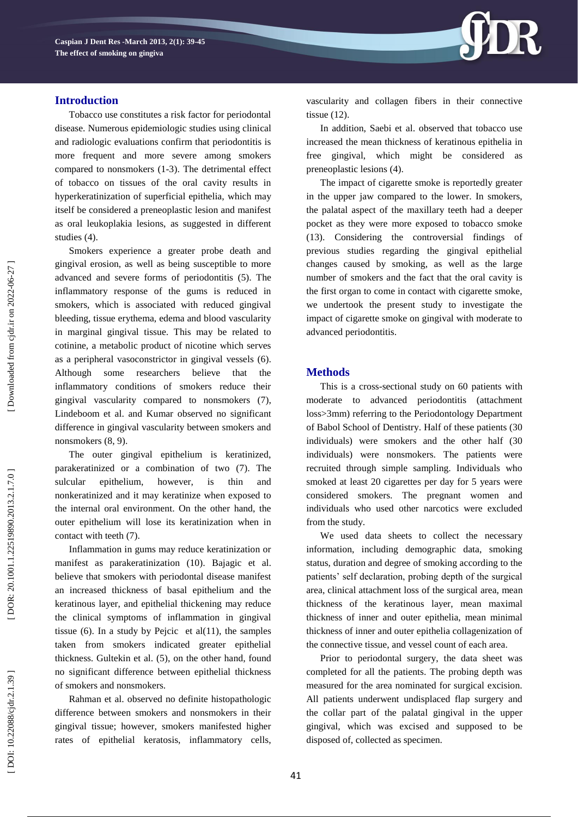

### **Introduction**

Tobacco use constitutes a risk factor for periodontal disease. Numerous epidemiologic studies using clinical and radiologic evaluations confirm that periodontitis is more frequent and more severe among smokers compared to nonsmokers (1 -3). The detrimental effect of tobacco on tissues of the oral cavity results in hyperkeratinization of superficial epithelia, which may itself be considered a preneoplastic lesion and manifest as oral leukoplakia lesions, as suggested in different studies (4).

Smokers experience a greater probe death and gingival erosion, as well as being susceptible to more advanced and severe forms of periodontitis (5). The inflammatory response of the gums is reduced in smokers, which is associated with reduced gingival bleeding, tissue erythema, edema and blood vascularity in marginal gingival tissue. This may be related to cotinine, a metabolic product of nicotine which serves as a peripheral vasoconstrictor in gingival vessels (6). Although some researchers believe that the inflammatory conditions of smokers reduce their gingival vascularity compared to nonsmokers (7), Lindeboom et al. and Kumar observed no significant difference in gingival vascularity between smokers and nonsmokers (8, 9).

The outer gingival epithelium is keratinized, parakeratinized or a combination of two (7). The sulcular epithelium, however, is thin and nonkeratinized and it may keratinize when exposed to the internal oral environment. On the other hand, the outer epithelium will lose its keratinization when in contact with teeth (7).

Inflammation in gums may reduce keratinization or manifest as parakeratinization (10). Bajagic et al. believe that smokers with periodontal disease manifest an increased thickness of basal epithelium and the keratinous layer, and epithelial thickening may reduce the clinical symptoms of inflammation in gingival tissue (6). In a study by Pejcic et al $(11)$ , the samples taken from smokers indicated greater epithelial thickness. Gultekin et al. (5), on the other hand, found no significant difference between epithelial thickness of smokers and nonsmokers.

Rahman et al. observed no definite histopathologic difference between smokers and nonsmokers in their gingival tissue; however, smokers manifested higher rates of epithelial keratosis, inflammatory cells, vascularity and collagen fibers in their connective tissue (12).

In addition, Saebi et al. observed that tobacco use increased the mean thickness of keratinous epithelia in free gingival, which might be considered preneoplastic lesions (4).

The impact of cigarette smoke is reportedly greater in the upper jaw compared to the lower. In smokers, the palatal aspect of the maxillary teeth had a deeper pocket as they were more exposed to tobacco smoke  $(13)$ . Considering the controversial findings previous studies regarding the gingival epithelial changes caused by smoking, as well as the large number of smokers and the fact that the oral cavity is the first organ to come in contact with cigarette smoke, we undertook the present study to investigate the impact of cigarette smoke on gingival with moderate to advanced periodontitis.

# **Method s**

This is a cross -sectional study on 60 patients with moderate to advanced periodontitis (attachment loss>3mm) referring to the Periodontology Department of Babol School of Dentistry. Half of these patients (30 individuals) were smokers and the other half (30 individuals) were nonsmokers. The patients were recruited through simple sampling. Individuals who smoked at least 20 cigarettes per day for 5 years were considered smokers. The pregnant women and individuals who used other narcotics were excluded from the study.

We used data sheets to collect the necessary information, including demographic data, smoking status, duration and degree of smoking according to the patients' self declaration, probing depth of the surgical area, clinical attachment loss of the surgical area, mean thickness of the keratinous layer, mean maximal thickness of inner and outer epithelia, mean minimal thickness of inner and outer epithelia collagenization of the connective tissue, and vessel count of each area.

Prior to periodontal surgery, the data sheet was completed for all the patients. The probing depth was measured for the area nominated for surgical excision. All patients underwent undisplaced flap surgery and the collar part of the palatal gingival in the upper gingival, which was excised and supposed to be disposed of, collected as specimen.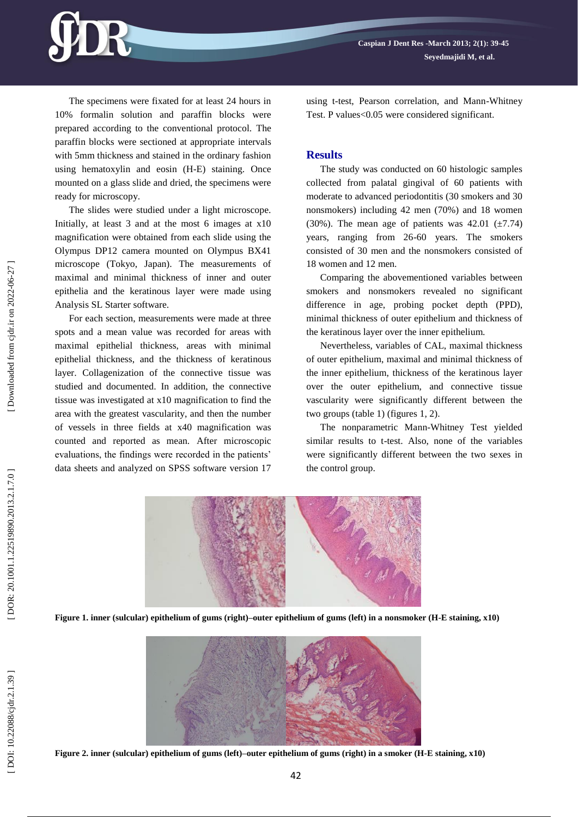The specimens were fixated for at least 24 hours in 10% formalin solution and paraffin blocks were prepared according to the conventional protocol. The paraffin blocks were sectioned at appropriate intervals with 5mm thickness and stained in the ordinary fashion using hematoxylin and eosin (H -E) staining. Once mounted on a glass slide and dried, the specimens were ready for microscopy.

The slides were studied under a light microscope. Initially, at least 3 and at the most 6 images at x10 magnification were obtained from each slide using the Olympus DP12 camera mounted on Olympus BX41 microscope (Tokyo, Japan). The measurements of maximal and minimal thickness of inner and outer epithelia and the keratinous layer were made using Analysis SL Starter software.

For each section, measurements were made at three spots and a mean value was recorded for areas with maximal epithelial thickness, areas with minimal epithelial thickness, and the thickness of keratinous layer. Collagenization of the connective tissue was studied and documented. In addition, the connective tissue was investigated at x10 magnification to find the area with the greatest vascularity, and then the number of vessels in three fields at x40 magnification was counted and reported as mean. After microscopic evaluations, the findings were recorded in the patients' data sheets and analyzed on SPSS software version 17 using t -test, Pearson correlation, and Mann -Whitney Test. P values<0.05 were considered significant.

#### **Results**

The study was conducted on 60 histologic samples collected from palatal gingival of 60 patients with moderate to advanced periodontitis (30 smokers and 30 nonsmokers) including 42 men (70%) and 18 women (30%). The mean age of patients was  $42.01 \pm 7.74$ ) years, ranging from 26 -60 years. The smokers consisted of 30 men and the nonsmokers consisted of 18 women and 12 men.

Comparing the abovementioned variables between smokers and nonsmokers revealed no significant difference in age, probing pocket depth (PPD), minimal thickness of outer epithelium and thickness of the keratinous layer over the inner epithelium.

Nevertheless, variables of CAL, maximal thickness of outer epithelium, maximal and minimal thickness of the inner epithelium, thickness of the keratinous layer over the outer epithelium, and connective tissue vascularity were significantly different between the two groups (table 1) (figures 1, 2).

The nonparametric Mann -Whitney Test yielded similar results to t -test. Also, none of the variables were significantly different between the two sexes in the control group.



**Figure 1 . inner (sulcular) epithelium of gums (right) –outer epithelium of gums (left) in a nonsmoker (H -E staining, x10)**



**Figure 2 . inner (sulcular) epithelium of gums (left) –outer epithelium of gums (right) in a smoker (H -E staining, x10)**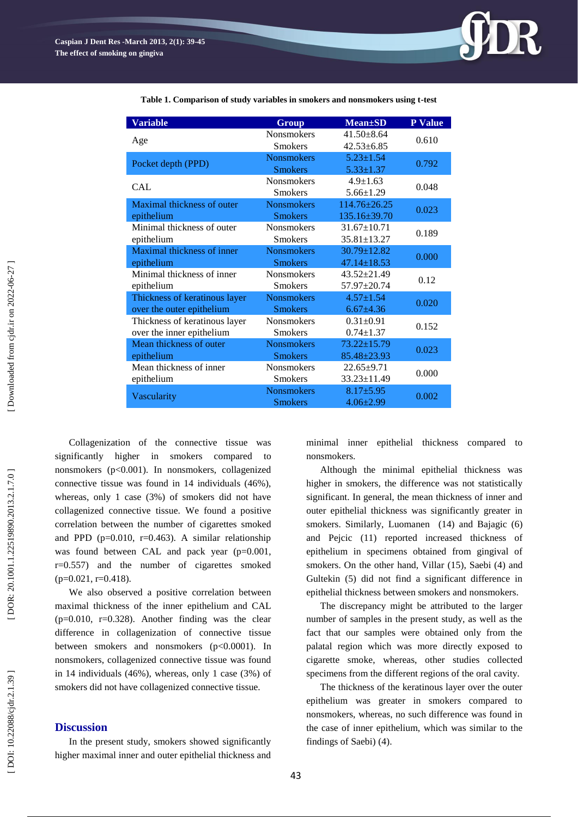

**Table 1. Comparison of study variables in smokers and nonsmokers using t -test**

Collagenization of the connective tissue was significantly higher in smokers compared nonsmokers (p<0.001). In nonsmokers, collagenized connective tissue was found in 14 individuals (46%), whereas, only 1 case (3%) of smokers did not have collagenized connective tissue. We found a positive correlation between the number of cigarettes smoked and PPD ( $p=0.010$ ,  $r=0.463$ ). A similar relationship was found between CAL and pack year (p=0.001, r=0.557) and the number of cigarettes smoked  $(p=0.021, r=0.418).$ 

We also observed a positive correlation between maximal thickness of the inner epithelium and CAL (p=0.010, r=0.328). Another finding was the clear difference in collagenization of connective tissue between smokers and nonsmokers (p<0.0001). In nonsmokers, collagenized connective tissue was found in 14 individuals (46%), whereas, only 1 case (3%) of smokers did not have collagenized connective tissue.

# **Discussion**

In the present study, smokers showed significantly higher maximal inner and outer epithelial thickness and minimal inner epithelial thickness compared to nonsmokers.

Although the minimal epithelial thickness was higher in smokers, the difference was not statistically significant. In general, the mean thickness of inner and outer epithelial thickness was significantly greater in smokers. Similarly, Luomanen (14) and Bajagic (6) and Pejcic (1 1 ) reported increased thickness of epithelium in specimens obtained from gingival of smokers. On the other hand, Villar (1 5), Saebi (4) and Gultekin (5) did not find a significant difference in epithelial thickness between smokers and nonsmokers.

The discrepancy might be attributed to the larger number of samples in the present study, as well as the fact that our samples were obtained only from the palatal region which was more directly exposed to cigarette smoke, whereas, other studies collected specimens from the different regions of the oral cavity.

The thickness of the keratinous layer over the outer epithelium was greater in smokers compared to nonsmokers, whereas, no such difference was found in the case of inner epithelium, which was similar to the findings of Saebi) (4).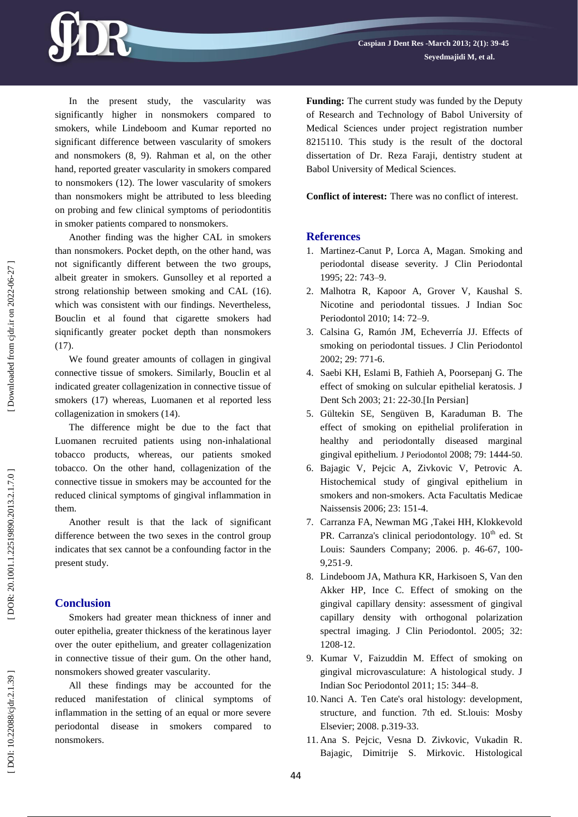In the present study, the vascularity was significantly higher in nonsmokers compared to smokers, while Lindeboom and Kumar reported no significant difference between vascularity of smokers and nonsmokers (8, 9). Rahman et al, on the other hand, reported greater vascularity in smokers compared to nonsmokers (1 2). The lower vascularity of smokers than nonsmokers might be attributed to less bleeding on probing and few clinical symptoms of periodontitis in smoker patients compared to nonsmokers.

Another finding was the higher CAL in smokers than nonsmokers. Pocket depth, on the other hand, was not significantly different between the two groups, albeit greater in smokers. Gunsolley et al reported a strong relationship between smoking and CAL (16) . which was consistent with our findings. Nevertheless, Bouclin et al found that cigarette smokers had siqnificantly greater pocket depth than nonsmokers (17).

We found greater amounts of collagen in gingival connective tissue of smokers. Similarly, Bouclin et al indicated greater collagenization in connective tissue of smokers (17) whereas, Luomanen et al reported less collagenization in smokers (1 4).

The difference might be due to the fact that Luomanen recruited patients using non -inhalational tobacco products, whereas, our patients smoked tobacco. On the other hand, collagenization of the connective tissue in smokers may be accounted for the reduced clinical symptoms of gingival inflammation in them.

Another result is that the lack of significant difference between the two sexes in the control group indicates that sex cannot be a confounding factor in the present study.

#### **Conclusion**

Smokers had greater mean thickness of inner and outer epithelia, greater thickness of the keratinous layer over the outer epithelium, and greater collagenization in connective tissue of their gum. On the other hand, nonsmokers showed greater vascularity.

All these findings may be accounted for the reduced manifestation of clinical symptoms of inflammation in the setting of an equal or more severe periodontal disease in smokers compared to nonsmokers.

**Funding:** The current study was funded by the Deputy of Research and Technology of Babol University of Medical Sciences under project registration number 8215110. This study is the result of the doctoral dissertation of Dr. Reza Faraji, dentistry student at Babol University of Medical Sciences.

**Conflict of interest:** There was no conflict of interest .

#### **References**

- 1. Martinez-Canut P, Lorca A, Magan. Smoking and periodontal disease severity. J Clin Periodontal 1995; 22: 743 –9.
- 2 . Malhotra R, Kapoor A, Grover V, Kaushal S. Nicotine and periodontal tissues. J Indian Soc Periodontol 2010; 14: 72 –9.
- 3 . Calsina G, Ramón JM, Echeverría JJ. Effects of smoking on periodontal tissues. J Clin Periodontol 2002; 29: 771 -6.
- 4 . Saebi KH, Eslami B, Fathieh A, Poorsepanj G. The effect of smoking on sulcular epithelial keratosis. J Dent Sch 2003; 21: 22 -30.[In Persian]
- 5 . Gültekin SE, Sengüven B, Karaduman B. The effect of smoking on epithelial proliferation in healthy and periodontally diseased marginal gingival epithelium. J Periodontol 2008; 79: 1444 -50.
- 6 . Bajagic V, Pejcic A, Zivkovic V, Petrovic A. Histochemical study of gingival epithelium in smokers and non -smokers. Acta Facultatis Medicae Naissensis 2006; 23: 151 -4.
- 7 . Carranza FA, Newman MG ,Takei HH, Klokkevold PR. Carranza's clinical periodontology. 10<sup>th</sup> ed. St Louis: Saunders Company; 2006. p. 46-67, 100-9,251 -9.
- 8 . Lindeboom JA, Mathura KR, Harkisoen S, Van den Akker HP, Ince C. Effect of smoking on the gingival capillary density: assessment of gingival capillary density with orthogonal polarization spectral imaging. J Clin Periodontol. 2005; 32: 1208 -12.
- 9 . Kumar V, Faizuddin M. Effect of smoking on gingival microvasculature: A histological study. J Indian Soc Periodontol 2011; 15: 344 –8.
- 10 . Nanci A. Ten Cate's oral histology: development, structure, and function. 7th ed. St.louis: Mosby Elsevier; 2008. p.319 -33.
- 11 . Ana S. Pejcic, Vesna D. Zivkovic, Vukadin R. Bajagic, Dimitrije S. Mirkovic. Histological